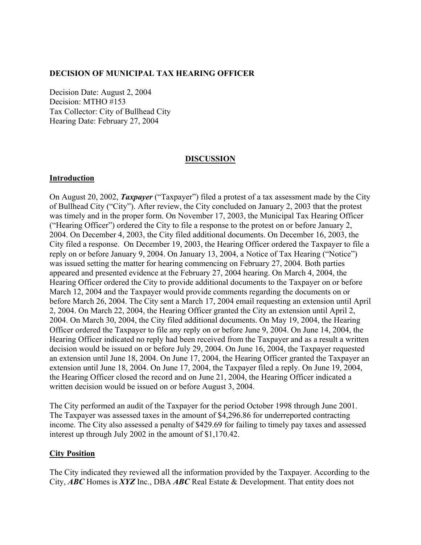## **DECISION OF MUNICIPAL TAX HEARING OFFICER**

Decision Date: August 2, 2004 Decision: MTHO #153 Tax Collector: City of Bullhead City Hearing Date: February 27, 2004

### **DISCUSSION**

### **Introduction**

On August 20, 2002, *Taxpayer* ("Taxpayer") filed a protest of a tax assessment made by the City of Bullhead City ("City"). After review, the City concluded on January 2, 2003 that the protest was timely and in the proper form. On November 17, 2003, the Municipal Tax Hearing Officer ("Hearing Officer") ordered the City to file a response to the protest on or before January 2, 2004. On December 4, 2003, the City filed additional documents. On December 16, 2003, the City filed a response. On December 19, 2003, the Hearing Officer ordered the Taxpayer to file a reply on or before January 9, 2004. On January 13, 2004, a Notice of Tax Hearing ("Notice") was issued setting the matter for hearing commencing on February 27, 2004. Both parties appeared and presented evidence at the February 27, 2004 hearing. On March 4, 2004, the Hearing Officer ordered the City to provide additional documents to the Taxpayer on or before March 12, 2004 and the Taxpayer would provide comments regarding the documents on or before March 26, 2004. The City sent a March 17, 2004 email requesting an extension until April 2, 2004. On March 22, 2004, the Hearing Officer granted the City an extension until April 2, 2004. On March 30, 2004, the City filed additional documents. On May 19, 2004, the Hearing Officer ordered the Taxpayer to file any reply on or before June 9, 2004. On June 14, 2004, the Hearing Officer indicated no reply had been received from the Taxpayer and as a result a written decision would be issued on or before July 29, 2004. On June 16, 2004, the Taxpayer requested an extension until June 18, 2004. On June 17, 2004, the Hearing Officer granted the Taxpayer an extension until June 18, 2004. On June 17, 2004, the Taxpayer filed a reply. On June 19, 2004, the Hearing Officer closed the record and on June 21, 2004, the Hearing Officer indicated a written decision would be issued on or before August 3, 2004.

The City performed an audit of the Taxpayer for the period October 1998 through June 2001. The Taxpayer was assessed taxes in the amount of \$4,296.86 for underreported contracting income. The City also assessed a penalty of \$429.69 for failing to timely pay taxes and assessed interest up through July 2002 in the amount of \$1,170.42.

### **City Position**

The City indicated they reviewed all the information provided by the Taxpayer. According to the City, *ABC* Homes is *XYZ* Inc., DBA *ABC* Real Estate & Development. That entity does not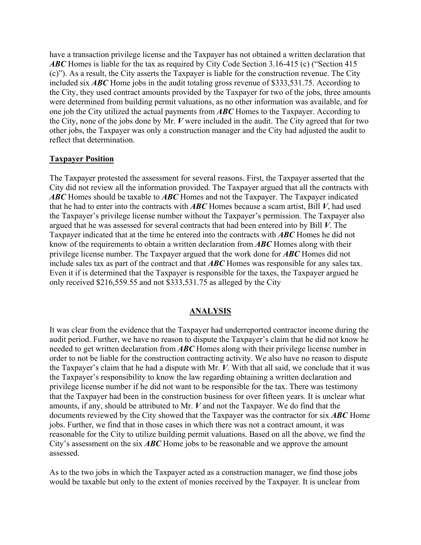have a transaction privilege license and the Taxpayer has not obtained a written declaration that *ABC* Homes is liable for the tax as required by City Code Section 3.16-415 (c) ("Section 415 (c)"). As a result, the City asserts the Taxpayer is liable for the construction revenue. The City included six *ABC* Home jobs in the audit totaling gross revenue of \$333,531.75. According to the City, they used contract amounts provided by the Taxpayer for two of the jobs, three amounts were determined from building permit valuations, as no other information was available, and for one job the City utilized the actual payments from *ABC* Homes to the Taxpayer. According to the City, none of the jobs done by Mr. *V* were included in the audit. The City agreed that for two other jobs, the Taxpayer was only a construction manager and the City had adjusted the audit to reflect that determination.

## **Taxpayer Position**

The Taxpayer protested the assessment for several reasons. First, the Taxpayer asserted that the City did not review all the information provided. The Taxpayer argued that all the contracts with *ABC* Homes should be taxable to *ABC* Homes and not the Taxpayer. The Taxpayer indicated that he had to enter into the contracts with *ABC* Homes because a scam artist, Bill *V*, had used the Taxpayer's privilege license number without the Taxpayer's permission. The Taxpayer also argued that he was assessed for several contracts that had been entered into by Bill *V*. The Taxpayer indicated that at the time he entered into the contracts with *ABC* Homes he did not know of the requirements to obtain a written declaration from *ABC* Homes along with their privilege license number. The Taxpayer argued that the work done for *ABC* Homes did not include sales tax as part of the contract and that *ABC* Homes was responsible for any sales tax. Even it if is determined that the Taxpayer is responsible for the taxes, the Taxpayer argued he only received \$216,559.55 and not \$333,531.75 as alleged by the City

### **ANALYSIS**

It was clear from the evidence that the Taxpayer had underreported contractor income during the audit period. Further, we have no reason to dispute the Taxpayer's claim that he did not know he needed to get written declaration from *ABC* Homes along with their privilege license number in order to not be liable for the construction contracting activity. We also have no reason to dispute the Taxpayer's claim that he had a dispute with Mr. *V*. With that all said, we conclude that it was the Taxpayer's responsibility to know the law regarding obtaining a written declaration and privilege license number if he did not want to be responsible for the tax. There was testimony that the Taxpayer had been in the construction business for over fifteen years. It is unclear what amounts, if any, should be attributed to Mr. *V* and not the Taxpayer. We do find that the documents reviewed by the City showed that the Taxpayer was the contractor for six *ABC* Home jobs. Further, we find that in those cases in which there was not a contract amount, it was reasonable for the City to utilize building permit valuations. Based on all the above, we find the City's assessment on the six *ABC* Home jobs to be reasonable and we approve the amount assessed.

As to the two jobs in which the Taxpayer acted as a construction manager, we find those jobs would be taxable but only to the extent of monies received by the Taxpayer. It is unclear from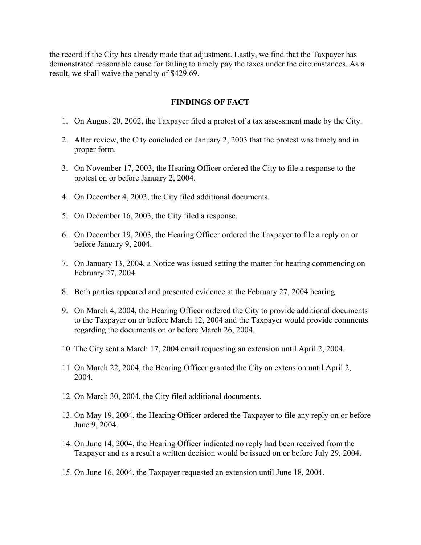the record if the City has already made that adjustment. Lastly, we find that the Taxpayer has demonstrated reasonable cause for failing to timely pay the taxes under the circumstances. As a result, we shall waive the penalty of \$429.69.

## **FINDINGS OF FACT**

- 1. On August 20, 2002, the Taxpayer filed a protest of a tax assessment made by the City.
- 2. After review, the City concluded on January 2, 2003 that the protest was timely and in proper form.
- 3. On November 17, 2003, the Hearing Officer ordered the City to file a response to the protest on or before January 2, 2004.
- 4. On December 4, 2003, the City filed additional documents.
- 5. On December 16, 2003, the City filed a response.
- 6. On December 19, 2003, the Hearing Officer ordered the Taxpayer to file a reply on or before January 9, 2004.
- 7. On January 13, 2004, a Notice was issued setting the matter for hearing commencing on February 27, 2004.
- 8. Both parties appeared and presented evidence at the February 27, 2004 hearing.
- 9. On March 4, 2004, the Hearing Officer ordered the City to provide additional documents to the Taxpayer on or before March 12, 2004 and the Taxpayer would provide comments regarding the documents on or before March 26, 2004.
- 10. The City sent a March 17, 2004 email requesting an extension until April 2, 2004.
- 11. On March 22, 2004, the Hearing Officer granted the City an extension until April 2, 2004.
- 12. On March 30, 2004, the City filed additional documents.
- 13. On May 19, 2004, the Hearing Officer ordered the Taxpayer to file any reply on or before June 9, 2004.
- 14. On June 14, 2004, the Hearing Officer indicated no reply had been received from the Taxpayer and as a result a written decision would be issued on or before July 29, 2004.
- 15. On June 16, 2004, the Taxpayer requested an extension until June 18, 2004.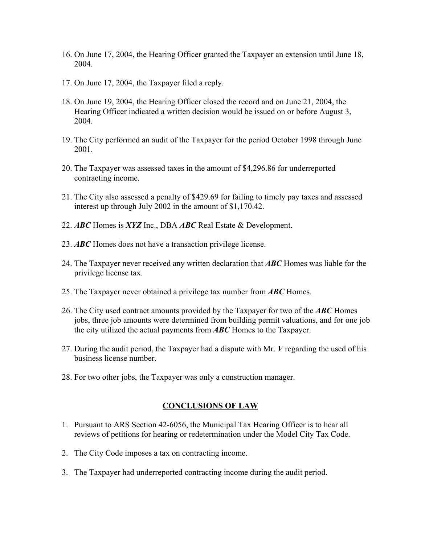- 16. On June 17, 2004, the Hearing Officer granted the Taxpayer an extension until June 18, 2004.
- 17. On June 17, 2004, the Taxpayer filed a reply.
- 18. On June 19, 2004, the Hearing Officer closed the record and on June 21, 2004, the Hearing Officer indicated a written decision would be issued on or before August 3, 2004.
- 19. The City performed an audit of the Taxpayer for the period October 1998 through June 2001.
- 20. The Taxpayer was assessed taxes in the amount of \$4,296.86 for underreported contracting income.
- 21. The City also assessed a penalty of \$429.69 for failing to timely pay taxes and assessed interest up through July 2002 in the amount of \$1,170.42.
- 22. *ABC* Homes is *XYZ* Inc., DBA *ABC* Real Estate & Development.
- 23. *ABC* Homes does not have a transaction privilege license.
- 24. The Taxpayer never received any written declaration that *ABC* Homes was liable for the privilege license tax.
- 25. The Taxpayer never obtained a privilege tax number from *ABC* Homes.
- 26. The City used contract amounts provided by the Taxpayer for two of the *ABC* Homes jobs, three job amounts were determined from building permit valuations, and for one job the city utilized the actual payments from *ABC* Homes to the Taxpayer.
- 27. During the audit period, the Taxpayer had a dispute with Mr. *V* regarding the used of his business license number.
- 28. For two other jobs, the Taxpayer was only a construction manager.

## **CONCLUSIONS OF LAW**

- 1. Pursuant to ARS Section 42-6056, the Municipal Tax Hearing Officer is to hear all reviews of petitions for hearing or redetermination under the Model City Tax Code.
- 2. The City Code imposes a tax on contracting income.
- 3. The Taxpayer had underreported contracting income during the audit period.